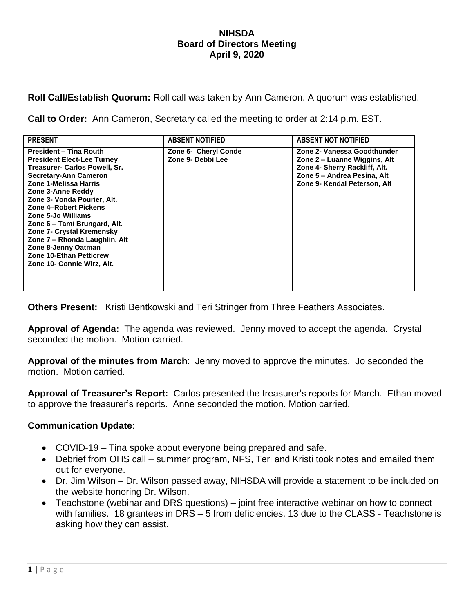## **NIHSDA Board of Directors Meeting April 9, 2020**

**Roll Call/Establish Quorum:** Roll call was taken by Ann Cameron. A quorum was established.

**Call to Order:** Ann Cameron, Secretary called the meeting to order at 2:14 p.m. EST.

| <b>PRESENT</b>                                                                                                                                                                                                                                                                                                                                                                                                                                       | <b>ABSENT NOTIFIED</b>                    | <b>ABSENT NOT NOTIFIED</b>                                                                                                                                  |
|------------------------------------------------------------------------------------------------------------------------------------------------------------------------------------------------------------------------------------------------------------------------------------------------------------------------------------------------------------------------------------------------------------------------------------------------------|-------------------------------------------|-------------------------------------------------------------------------------------------------------------------------------------------------------------|
| <b>President - Tina Routh</b><br><b>President Elect-Lee Turney</b><br>Treasurer- Carlos Powell, Sr.<br><b>Secretary-Ann Cameron</b><br>Zone 1-Melissa Harris<br>Zone 3-Anne Reddy<br>Zone 3- Vonda Pourier, Alt.<br>Zone 4-Robert Pickens<br>Zone 5-Jo Williams<br>Zone 6 - Tami Brungard, Alt.<br>Zone 7- Crystal Kremensky<br>Zone 7 - Rhonda Laughlin, Alt<br>Zone 8-Jenny Oatman<br><b>Zone 10-Ethan Petticrew</b><br>Zone 10- Connie Wirz, Alt. | Zone 6- Cheryl Conde<br>Zone 9- Debbi Lee | Zone 2- Vanessa Goodthunder<br>Zone 2 – Luanne Wiggins, Alt<br>Zone 4- Sherry Rackliff, Alt.<br>Zone 5 - Andrea Pesina, Alt<br>Zone 9- Kendal Peterson, Alt |

**Others Present:** Kristi Bentkowski and Teri Stringer from Three Feathers Associates.

**Approval of Agenda:** The agenda was reviewed. Jenny moved to accept the agenda. Crystal seconded the motion. Motion carried.

**Approval of the minutes from March**: Jenny moved to approve the minutes. Jo seconded the motion. Motion carried.

**Approval of Treasurer's Report:** Carlos presented the treasurer's reports for March. Ethan moved to approve the treasurer's reports. Anne seconded the motion. Motion carried.

## **Communication Update**:

- COVID-19 Tina spoke about everyone being prepared and safe.
- Debrief from OHS call summer program, NFS, Teri and Kristi took notes and emailed them out for everyone.
- Dr. Jim Wilson Dr. Wilson passed away, NIHSDA will provide a statement to be included on the website honoring Dr. Wilson.
- Teachstone (webinar and DRS questions) joint free interactive webinar on how to connect with families. 18 grantees in DRS – 5 from deficiencies, 13 due to the CLASS - Teachstone is asking how they can assist.